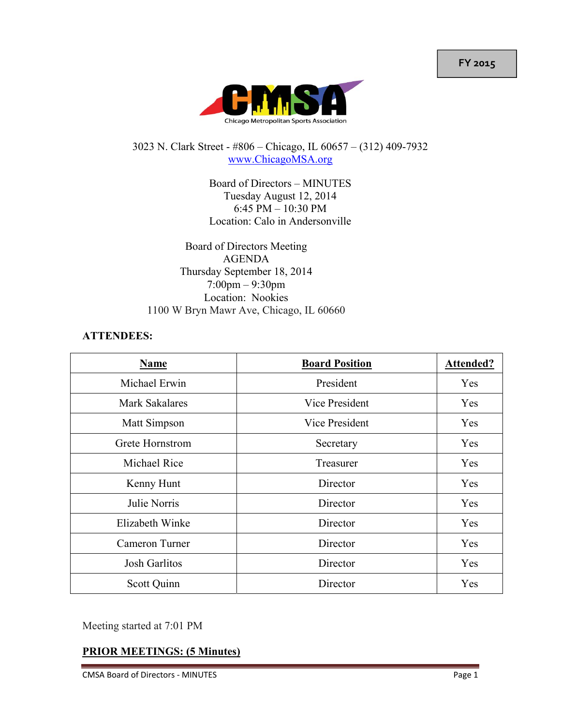**FY 2015**



#### 3023 N. Clark Street - #806 – Chicago, IL 60657 – (312) 409-7932 www.ChicagoMSA.org

Board of Directors – MINUTES Tuesday August 12, 2014 6:45 PM – 10:30 PM Location: Calo in Andersonville

Board of Directors Meeting AGENDA Thursday September 18, 2014 7:00pm – 9:30pm Location: Nookies 1100 W Bryn Mawr Ave, Chicago, IL 60660

#### **ATTENDEES:**

| Name                  | <b>Board Position</b> | <b>Attended?</b> |
|-----------------------|-----------------------|------------------|
| Michael Erwin         | President             | Yes              |
| <b>Mark Sakalares</b> | Vice President        | Yes              |
| Matt Simpson          | Vice President        | Yes              |
| Grete Hornstrom       | Secretary             | Yes              |
| Michael Rice          | Treasurer             | Yes              |
| Kenny Hunt            | Director              | Yes              |
| Julie Norris          | Director              | Yes              |
| Elizabeth Winke       | Director              | Yes              |
| Cameron Turner        | Director              | Yes              |
| Josh Garlitos         | Director              | Yes              |
| Scott Quinn           | Director              | Yes              |

Meeting started at 7:01 PM

### **PRIOR MEETINGS: (5 Minutes)**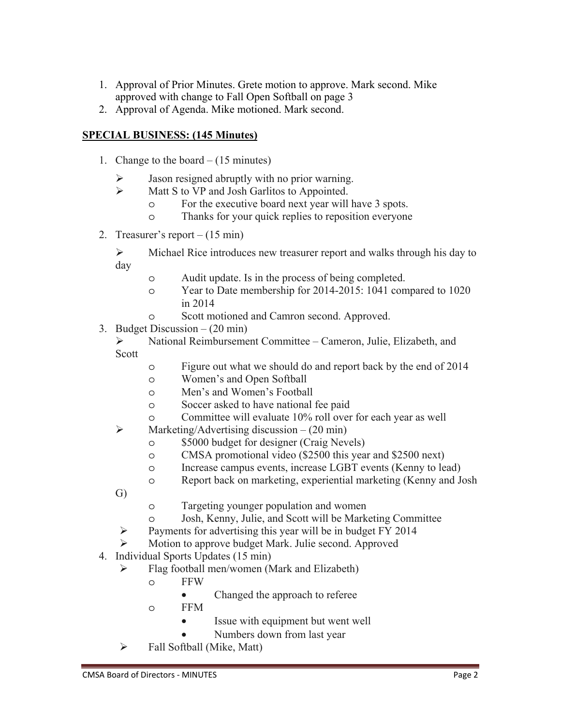- 1. Approval of Prior Minutes. Grete motion to approve. Mark second. Mike approved with change to Fall Open Softball on page 3
- 2. Approval of Agenda. Mike motioned. Mark second.

## **SPECIAL BUSINESS: (145 Minutes)**

- 1. Change to the board (15 minutes)
	- Jason resigned abruptly with no prior warning.
	- $\triangleright$  Matt S to VP and Josh Garlitos to Appointed.
		- o For the executive board next year will have 3 spots.
		- o Thanks for your quick replies to reposition everyone
- 2. Treasurer's report (15 min)

 $\triangleright$  Michael Rice introduces new treasurer report and walks through his day to day

- o Audit update. Is in the process of being completed.
- o Year to Date membership for 2014-2015: 1041 compared to 1020 in 2014
- o Scott motioned and Camron second. Approved.
- 3. Budget Discussion (20 min)
	- National Reimbursement Committee Cameron, Julie, Elizabeth, and Scott
		- o Figure out what we should do and report back by the end of 2014
		- o Women's and Open Softball
		- o Men's and Women's Football
		- o Soccer asked to have national fee paid
		- o Committee will evaluate 10% roll over for each year as well
	- $\triangleright$  Marketing/Advertising discussion (20 min)
		- o \$5000 budget for designer (Craig Nevels)
		- o CMSA promotional video (\$2500 this year and \$2500 next)
		- o Increase campus events, increase LGBT events (Kenny to lead)
		- o Report back on marketing, experiential marketing (Kenny and Josh
	- G)
- o Targeting younger population and women
- o Josh, Kenny, Julie, and Scott will be Marketing Committee
- $\triangleright$  Payments for advertising this year will be in budget FY 2014
- Motion to approve budget Mark. Julie second. Approved
- 4. Individual Sports Updates (15 min)
	- $\triangleright$  Flag football men/women (Mark and Elizabeth)
		- o FFW
			- Changed the approach to referee
		- o FFM
			- Issue with equipment but went well
			- Numbers down from last year
	- $\triangleright$  Fall Softball (Mike, Matt)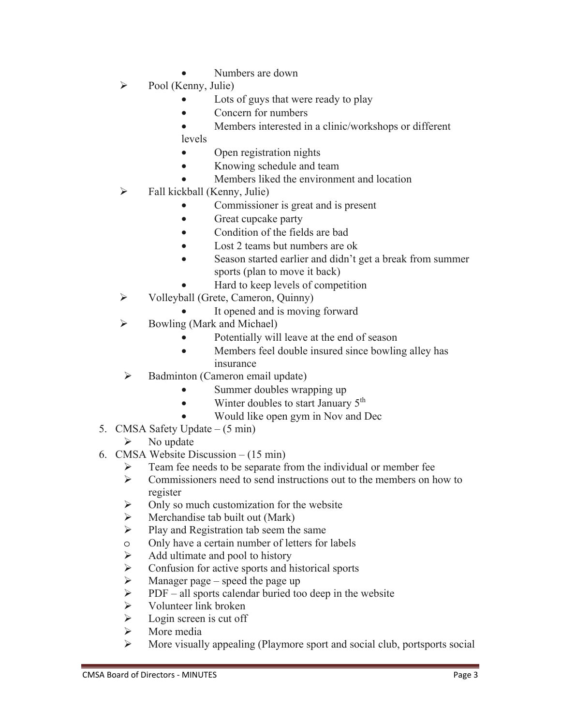- Numbers are down
- $\triangleright$  Pool (Kenny, Julie)
	- Lots of guys that were ready to play
	- Concern for numbers
	- Members interested in a clinic/workshops or different levels
	- Open registration nights
	- Knowing schedule and team
	- Members liked the environment and location
- $\triangleright$  Fall kickball (Kenny, Julie)
	- Commissioner is great and is present
	- Great cupcake party
	- Condition of the fields are bad
	- Lost 2 teams but numbers are ok
	- Season started earlier and didn't get a break from summer sports (plan to move it back)
	- Hard to keep levels of competition
- $\triangleright$  Volleyball (Grete, Cameron, Quinny)
	- It opened and is moving forward
- $\triangleright$  Bowling (Mark and Michael)
	- Potentially will leave at the end of season
	- Members feel double insured since bowling alley has insurance
- $\triangleright$  Badminton (Cameron email update)
	- Summer doubles wrapping up
	- Winter doubles to start January  $5<sup>th</sup>$ 
		- Would like open gym in Nov and Dec
- 5. CMSA Safety Update (5 min)
	- $\triangleright$  No update
- 6. CMSA Website Discussion (15 min)
	- $\triangleright$  Team fee needs to be separate from the individual or member fee
	- $\triangleright$  Commissioners need to send instructions out to the members on how to register
	- $\triangleright$  Only so much customization for the website
	- $\triangleright$  Merchandise tab built out (Mark)
	- $\triangleright$  Play and Registration tab seem the same
	- o Only have a certain number of letters for labels
	- $\triangleright$  Add ultimate and pool to history
	- $\triangleright$  Confusion for active sports and historical sports
	- $\triangleright$  Manager page speed the page up
	- $\triangleright$  PDF all sports calendar buried too deep in the website
	- $\triangleright$  Volunteer link broken
	- $\triangleright$  Login screen is cut off
	- > More media
	- More visually appealing (Playmore sport and social club, portsports social